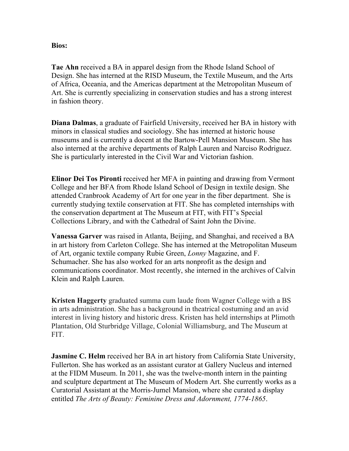## **Bios:**

**Tae Ahn** received a BA in apparel design from the Rhode Island School of Design. She has interned at the RISD Museum, the Textile Museum, and the Arts of Africa, Oceania, and the Americas department at the Metropolitan Museum of Art. She is currently specializing in conservation studies and has a strong interest in fashion theory.

**Diana Dalmas**, a graduate of Fairfield University, received her BA in history with minors in classical studies and sociology. She has interned at historic house museums and is currently a docent at the Bartow-Pell Mansion Museum. She has also interned at the archive departments of Ralph Lauren and Narciso Rodriguez. She is particularly interested in the Civil War and Victorian fashion.

**Elinor Dei Tos Pironti** received her MFA in painting and drawing from Vermont College and her BFA from Rhode Island School of Design in textile design. She attended Cranbrook Academy of Art for one year in the fiber department. She is currently studying textile conservation at FIT. She has completed internships with the conservation department at The Museum at FIT, with FIT's Special Collections Library, and with the Cathedral of Saint John the Divine.

**Vanessa Garver** was raised in Atlanta, Beijing, and Shanghai, and received a BA in art history from Carleton College. She has interned at the Metropolitan Museum of Art, organic textile company Rubie Green, *Lonny* Magazine, and F. Schumacher. She has also worked for an arts nonprofit as the design and communications coordinator. Most recently, she interned in the archives of Calvin Klein and Ralph Lauren.

**Kristen Haggerty** graduated summa cum laude from Wagner College with a BS in arts administration. She has a background in theatrical costuming and an avid interest in living history and historic dress. Kristen has held internships at Plimoth Plantation, Old Sturbridge Village, Colonial Williamsburg, and The Museum at FIT.

**Jasmine C. Helm** received her BA in art history from California State University, Fullerton. She has worked as an assistant curator at Gallery Nucleus and interned at the FIDM Museum. In 2011, she was the twelve-month intern in the painting and sculpture department at The Museum of Modern Art. She currently works as a Curatorial Assistant at the Morris-Jumel Mansion, where she curated a display entitled *The Arts of Beauty: Feminine Dress and Adornment, 1774-1865*.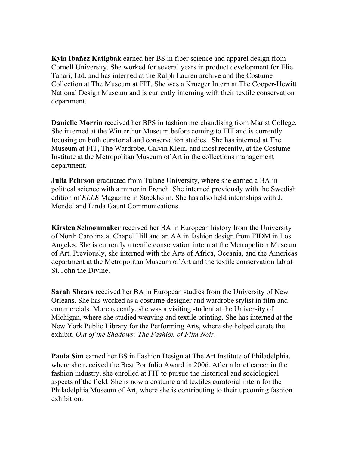**Kyla Ibañez Katigbak** earned her BS in fiber science and apparel design from Cornell University. She worked for several years in product development for Elie Tahari, Ltd. and has interned at the Ralph Lauren archive and the Costume Collection at The Museum at FIT. She was a Krueger Intern at The Cooper-Hewitt National Design Museum and is currently interning with their textile conservation department.

**Danielle Morrin** received her BPS in fashion merchandising from Marist College. She interned at the Winterthur Museum before coming to FIT and is currently focusing on both curatorial and conservation studies. She has interned at The Museum at FIT, The Wardrobe, Calvin Klein, and most recently, at the Costume Institute at the Metropolitan Museum of Art in the collections management department.

**Julia Pehrson** graduated from Tulane University, where she earned a BA in political science with a minor in French. She interned previously with the Swedish edition of *ELLE* Magazine in Stockholm. She has also held internships with J. Mendel and Linda Gaunt Communications.

**Kirsten Schoonmaker** received her BA in European history from the University of North Carolina at Chapel Hill and an AA in fashion design from FIDM in Los Angeles. She is currently a textile conservation intern at the Metropolitan Museum of Art. Previously, she interned with the Arts of Africa, Oceania, and the Americas department at the Metropolitan Museum of Art and the textile conservation lab at St. John the Divine.

**Sarah Shears** received her BA in European studies from the University of New Orleans. She has worked as a costume designer and wardrobe stylist in film and commercials. More recently, she was a visiting student at the University of Michigan, where she studied weaving and textile printing. She has interned at the New York Public Library for the Performing Arts, where she helped curate the exhibit, *Out of the Shadows: The Fashion of Film Noir*.

**Paula Sim** earned her BS in Fashion Design at The Art Institute of Philadelphia, where she received the Best Portfolio Award in 2006. After a brief career in the fashion industry, she enrolled at FIT to pursue the historical and sociological aspects of the field. She is now a costume and textiles curatorial intern for the Philadelphia Museum of Art, where she is contributing to their upcoming fashion exhibition.